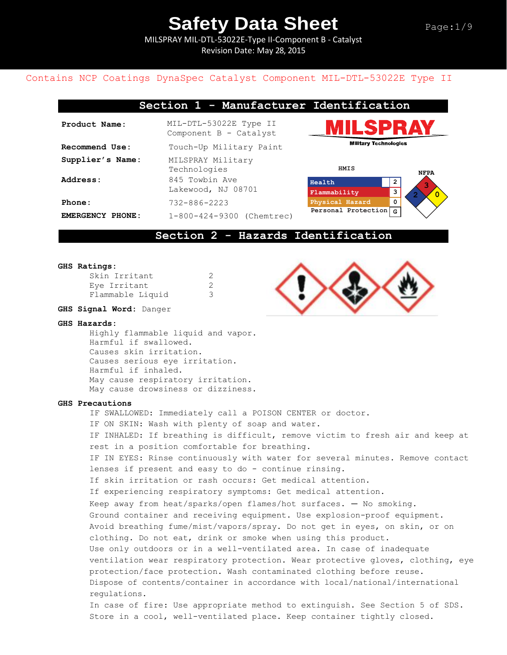MILSPRAY MIL-DTL-53022E-Type II-Component B - Catalyst Revision Date: May 28, 2015

### Contains NCP Coatings DynaSpec Catalyst Component MIL-DTL-53022E Type II

## **Section 1 - Manufacturer Identification**

| Product Name:                       | MIL-DTL-53022E Type II<br>Component B - Catalyst    |
|-------------------------------------|-----------------------------------------------------|
| <b>Recommend Use:</b>               | Touch-Up Military Paint                             |
| Supplier's Name:<br><b>Address:</b> | MILSPRAY Military<br>Technologies<br>845 Towbin Ave |
|                                     | Lakewood, NJ 08701                                  |
| Phone:                              | 732-886-2223                                        |
| EMERGENCY PHONE:                    | 1-800-424-9300 (Chemtrec)                           |





### **Section 2 - Hazards Identification**

#### **GHS Ratings:**

| Skin Irritant    |   |
|------------------|---|
| Eye Irritant     | 2 |
| Flammable Liquid |   |

#### **GHS Signal Word:** Danger

#### **GHS Hazards:**

Highly flammable liquid and vapor. Harmful if swallowed. Causes skin irritation. Causes serious eye irritation. Harmful if inhaled. May cause respiratory irritation. May cause drowsiness or dizziness.

### **GHS Precautions**

IF SWALLOWED: Immediately call a POISON CENTER or doctor. IF ON SKIN: Wash with plenty of soap and water. IF INHALED: If breathing is difficult, remove victim to fresh air and keep at rest in a position comfortable for breathing. IF IN EYES: Rinse continuously with water for several minutes. Remove contact lenses if present and easy to do - continue rinsing. If skin irritation or rash occurs: Get medical attention. If experiencing respiratory symptoms: Get medical attention. Keep away from heat/sparks/open flames/hot surfaces. — No smoking. Ground container and receiving equipment. Use explosion-proof equipment. Avoid breathing fume/mist/vapors/spray. Do not get in eyes, on skin, or on clothing. Do not eat, drink or smoke when using this product. Use only outdoors or in a well-ventilated area. In case of inadequate ventilation wear respiratory protection. Wear protective gloves, clothing, eye protection/face protection. Wash contaminated clothing before reuse. Dispose of contents/container in accordance with local/national/international regulations. In case of fire: Use appropriate method to extinguish. See Section 5 of SDS. Store in a cool, well-ventilated place. Keep container tightly closed.

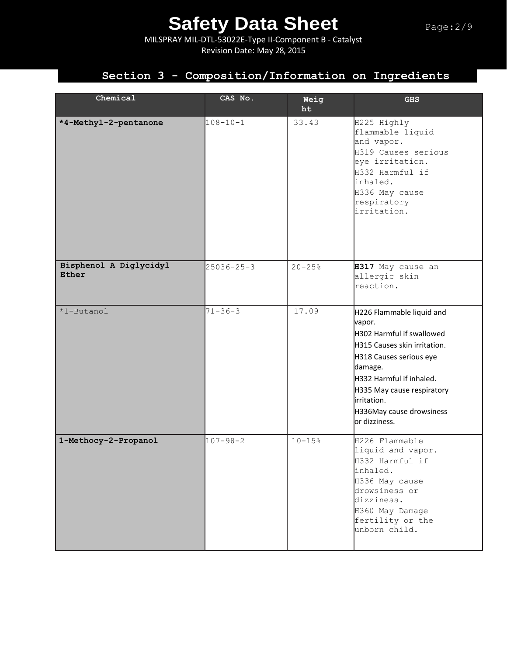MILSPRAY MIL-DTL-53022E-Type II-Component B - Catalyst Revision Date: May 28, 2015

## **Section 3 - Composition/Information on Ingredients**

| Chemical                        | CAS No.          | Weig<br>ht | <b>GHS</b>                                                                                                                                                                                                                                                   |
|---------------------------------|------------------|------------|--------------------------------------------------------------------------------------------------------------------------------------------------------------------------------------------------------------------------------------------------------------|
| *4-Methyl-2-pentanone           | $108 - 10 - 1$   | 33.43      | H225 Highly<br>flammable liquid<br>and vapor.<br>H319 Causes serious<br>eye irritation.<br>H332 Harmful if<br>inhaled.<br>H336 May cause<br>respiratory<br>irritation.                                                                                       |
| Bisphenol A Diglycidyl<br>Ether | $25036 - 25 - 3$ | $20 - 25%$ | H317 May cause an<br>allergic skin<br>reaction.                                                                                                                                                                                                              |
| *1-Butanol                      | $71 - 36 - 3$    | 17.09      | H226 Flammable liquid and<br>vapor.<br>H302 Harmful if swallowed<br>H315 Causes skin irritation.<br>H318 Causes serious eye<br>damage.<br>H332 Harmful if inhaled.<br>H335 May cause respiratory<br>irritation.<br>H336May cause drowsiness<br>or dizziness. |
| 1-Methocy-2-Propanol            | $107 - 98 - 2$   | $10 - 15%$ | H226 Flammable<br>liquid and vapor.<br>H332 Harmful if<br>inhaled.<br>H336 May cause<br>drowsiness or<br>dizziness.<br>H360 May Damage<br>fertility or the<br>unborn child.                                                                                  |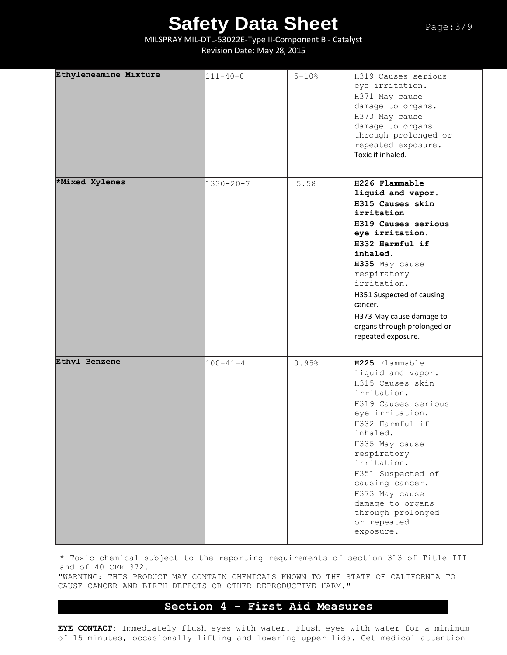MILSPRAY MIL-DTL-53022E-Type II-Component B - Catalyst Revision Date: May 28, 2015

| Ethyleneamine Mixture | $111 - 40 - 0$  | $5 - 10%$ | H319 Causes serious<br>eye irritation.<br>H371 May cause<br>damage to organs.<br>H373 May cause<br>damage to organs<br>through prolonged or<br>repeated exposure.<br>Toxic if inhaled.                                                                                                                                         |
|-----------------------|-----------------|-----------|--------------------------------------------------------------------------------------------------------------------------------------------------------------------------------------------------------------------------------------------------------------------------------------------------------------------------------|
| *Mixed Xylenes        | $1330 - 20 - 7$ | 5.58      | H226 Flammable<br>liquid and vapor.<br>H315 Causes skin<br>lirritation<br>H319 Causes serious<br>eye irritation.<br>H332 Harmful if<br>inhaled.<br>H335 May cause<br>respiratory<br>irritation.<br>H351 Suspected of causing<br>lcancer.<br>H373 May cause damage to<br>organs through prolonged or<br>repeated exposure.      |
| Ethyl Benzene         | $100 - 41 - 4$  | 0.95%     | H225 Flammable<br>liquid and vapor.<br>H315 Causes skin<br>irritation.<br>H319 Causes serious<br>eye irritation.<br>H332 Harmful if<br>inhaled.<br>H335 May cause<br>respiratory<br>irritation.<br>H351 Suspected of<br>causing cancer.<br>H373 May cause<br>damage to organs<br>through prolonged<br>or repeated<br>exposure. |

\* Toxic chemical subject to the reporting requirements of section 313 of Title III and of 40 CFR 372.

"WARNING: THIS PRODUCT MAY CONTAIN CHEMICALS KNOWN TO THE STATE OF CALIFORNIA TO CAUSE CANCER AND BIRTH DEFECTS OR OTHER REPRODUCTIVE HARM."

## **Section 4 - First Aid Measures**

**EYE CONTACT:** Immediately flush eyes with water. Flush eyes with water for a minimum of 15 minutes, occasionally lifting and lowering upper lids. Get medical attention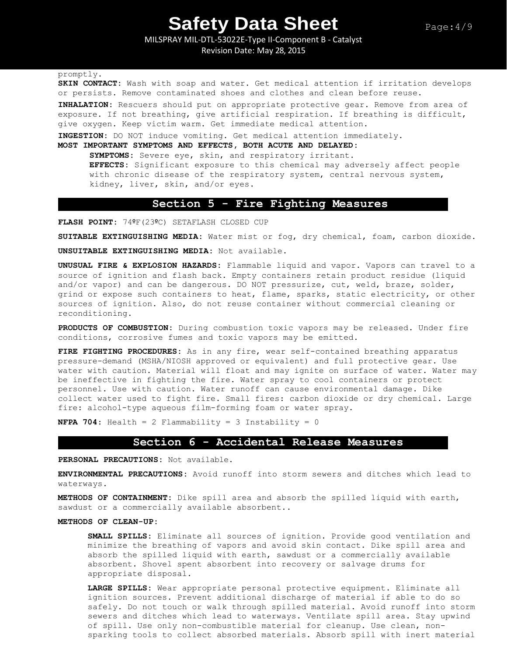MILSPRAY MIL-DTL-53022E-Type II-Component B - Catalyst Revision Date: May 28, 2015

promptly.

**SKIN CONTACT:** Wash with soap and water. Get medical attention if irritation develops or persists. Remove contaminated shoes and clothes and clean before reuse.

**INHALATION:** Rescuers should put on appropriate protective gear. Remove from area of exposure. If not breathing, give artificial respiration. If breathing is difficult, give oxygen. Keep victim warm. Get immediate medical attention.

**INGESTION:** DO NOT induce vomiting. Get medical attention immediately.

**MOST IMPORTANT SYMPTOMS AND EFFECTS, BOTH ACUTE AND DELAYED:**

**SYMPTOMS:** Severe eye, skin, and respiratory irritant. **EFFECTS:** Significant exposure to this chemical may adversely affect people with chronic disease of the respiratory system, central nervous system, kidney, liver, skin, and/or eyes.

## **Section 5 - Fire Fighting Measures**

**FLASH POINT:** 74ºF(23ºC) SETAFLASH CLOSED CUP

**SUITABLE EXTINGUISHING MEDIA:** Water mist or fog, dry chemical, foam, carbon dioxide.

**UNSUITABLE EXTINGUISHING MEDIA:** Not available.

**UNUSUAL FIRE & EXPLOSION HAZARDS:** Flammable liquid and vapor. Vapors can travel to a source of ignition and flash back. Empty containers retain product residue (liquid and/or vapor) and can be dangerous. DO NOT pressurize, cut, weld, braze, solder, grind or expose such containers to heat, flame, sparks, static electricity, or other sources of ignition. Also, do not reuse container without commercial cleaning or reconditioning.

**PRODUCTS OF COMBUSTION:** During combustion toxic vapors may be released. Under fire conditions, corrosive fumes and toxic vapors may be emitted.

**FIRE FIGHTING PROCEDURES:** As in any fire, wear self-contained breathing apparatus pressure-demand (MSHA/NIOSH approved or equivalent) and full protective gear. Use water with caution. Material will float and may ignite on surface of water. Water may be ineffective in fighting the fire. Water spray to cool containers or protect personnel. Use with caution. Water runoff can cause environmental damage. Dike collect water used to fight fire. Small fires: carbon dioxide or dry chemical. Large fire: alcohol-type aqueous film-forming foam or water spray.

**NFPA 704:** Health = 2 Flammability = 3 Instability = 0

### **Section 6 - Accidental Release Measures**

**PERSONAL PRECAUTIONS:** Not available.

**ENVIRONMENTAL PRECAUTIONS:** Avoid runoff into storm sewers and ditches which lead to waterways.

**METHODS OF CONTAINMENT:** Dike spill area and absorb the spilled liquid with earth, sawdust or a commercially available absorbent..

#### **METHODS OF CLEAN-UP:**

**SMALL SPILLS:** Eliminate all sources of ignition. Provide good ventilation and minimize the breathing of vapors and avoid skin contact. Dike spill area and absorb the spilled liquid with earth, sawdust or a commercially available absorbent. Shovel spent absorbent into recovery or salvage drums for appropriate disposal.

**LARGE SPILLS:** Wear appropriate personal protective equipment. Eliminate all ignition sources. Prevent additional discharge of material if able to do so safely. Do not touch or walk through spilled material. Avoid runoff into storm sewers and ditches which lead to waterways. Ventilate spill area. Stay upwind of spill. Use only non-combustible material for cleanup. Use clean, nonsparking tools to collect absorbed materials. Absorb spill with inert material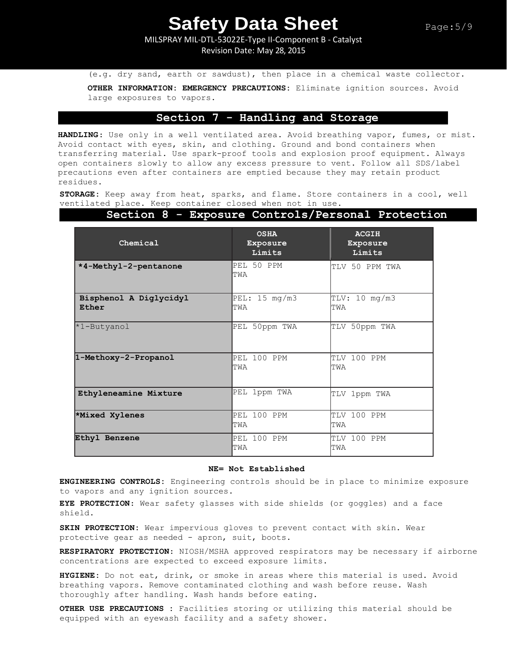MILSPRAY MIL-DTL-53022E-Type II-Component B - Catalyst Revision Date: May 28, 2015

(e.g. dry sand, earth or sawdust), then place in a chemical waste collector.

**OTHER INFORMATION: EMERGENCY PRECAUTIONS:** Eliminate ignition sources. Avoid large exposures to vapors.

### **Section 7 - Handling and Storage**

**HANDLING**: Use only in a well ventilated area. Avoid breathing vapor, fumes, or mist. Avoid contact with eyes, skin, and clothing. Ground and bond containers when transferring material. Use spark-proof tools and explosion proof equipment. Always open containers slowly to allow any excess pressure to vent. Follow all SDS/label precautions even after containers are emptied because they may retain product residues.

**STORAGE:** Keep away from heat, sparks, and flame. Store containers in a cool, well ventilated place. Keep container closed when not in use.

| Chemical                        | <b>OSHA</b><br>Exposure<br>Limits | <b>ACGIH</b><br>Exposure<br>Limits |
|---------------------------------|-----------------------------------|------------------------------------|
| *4-Methyl-2-pentanone           | PEL 50 PPM<br>TWA                 | TLV 50 PPM TWA                     |
| Bisphenol A Diglycidyl<br>Ether | PEL: 15 mg/m3<br>TWA              | TLV: 10 mg/m3<br>TWA               |
| *1-Butyanol                     | PEL 50ppm TWA                     | TLV 50ppm TWA                      |
| 1-Methoxy-2-Propanol            | PEL 100 PPM<br>TWA                | TLV 100 PPM<br>TWA                 |
| Ethyleneamine Mixture           | PEL 1ppm TWA                      | TLV 1ppm TWA                       |
| *Mixed Xylenes                  | PEL 100 PPM<br>TWA                | TLV 100 PPM<br>TWA                 |
| Ethyl Benzene                   | PEL 100 PPM<br>TWA                | TLV 100 PPM<br>TWA                 |

### **Section 8 - Exposure Controls/Personal Protection**

#### **NE= Not Established**

**ENGINEERING CONTROLS:** Engineering controls should be in place to minimize exposure to vapors and any ignition sources.

**EYE PROTECTION**: Wear safety glasses with side shields (or goggles) and a face shield.

**SKIN PROTECTION:** Wear impervious gloves to prevent contact with skin. Wear protective gear as needed - apron, suit, boots.

**RESPIRATORY PROTECTION**: NIOSH/MSHA approved respirators may be necessary if airborne concentrations are expected to exceed exposure limits.

**HYGIENE:** Do not eat, drink, or smoke in areas where this material is used. Avoid breathing vapors. Remove contaminated clothing and wash before reuse. Wash thoroughly after handling. Wash hands before eating.

**OTHER USE PRECAUTIONS :** Facilities storing or utilizing this material should be equipped with an eyewash facility and a safety shower.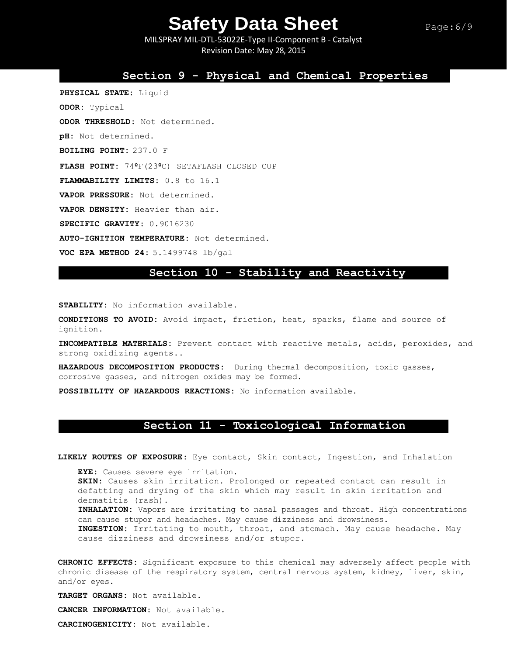MILSPRAY MIL-DTL-53022E-Type II-Component B - Catalyst Revision Date: May 28, 2015

### **Section 9 - Physical and Chemical Properties**

**PHYSICAL STATE:** Liquid **ODOR:** Typical **ODOR THRESHOLD:** Not determined. **pH:** Not determined. **BOILING POINT:** 237.0 F **FLASH POINT:** 74ºF(23ºC) SETAFLASH CLOSED CUP **FLAMMABILITY LIMITS:** 0.8 to 16.1 **VAPOR PRESSURE:** Not determined. **VAPOR DENSITY:** Heavier than air. **SPECIFIC GRAVITY:** 0.9016230 **AUTO-IGNITION TEMPERATURE:** Not determined.

**VOC EPA METHOD 24:** 5.1499748 lb/gal

## **Section 10 - Stability and Reactivity**

**STABILITY:** No information available.

**CONDITIONS TO AVOID:** Avoid impact, friction, heat, sparks, flame and source of ignition.

**INCOMPATIBLE MATERIALS:** Prevent contact with reactive metals, acids, peroxides, and strong oxidizing agents..

**HAZARDOUS DECOMPOSITION PRODUCTS:** During thermal decomposition, toxic gasses, corrosive gasses, and nitrogen oxides may be formed.

**POSSIBILITY OF HAZARDOUS REACTIONS:** No information available.

## **Section 11 - Toxicological Information**

**LIKELY ROUTES OF EXPOSURE:** Eye contact, Skin contact, Ingestion, and Inhalation

**EYE:** Causes severe eye irritation. **SKIN:** Causes skin irritation. Prolonged or repeated contact can result in defatting and drying of the skin which may result in skin irritation and dermatitis (rash). **INHALATION:** Vapors are irritating to nasal passages and throat. High concentrations can cause stupor and headaches. May cause dizziness and drowsiness. **INGESTION:** Irritating to mouth, throat, and stomach. May cause headache. May cause dizziness and drowsiness and/or stupor.

**CHRONIC EFFECTS:** Significant exposure to this chemical may adversely affect people with chronic disease of the respiratory system, central nervous system, kidney, liver, skin, and/or eyes.

**TARGET ORGANS:** Not available.

**CANCER INFORMATION:** Not available.

**CARCINOGENICITY:** Not available.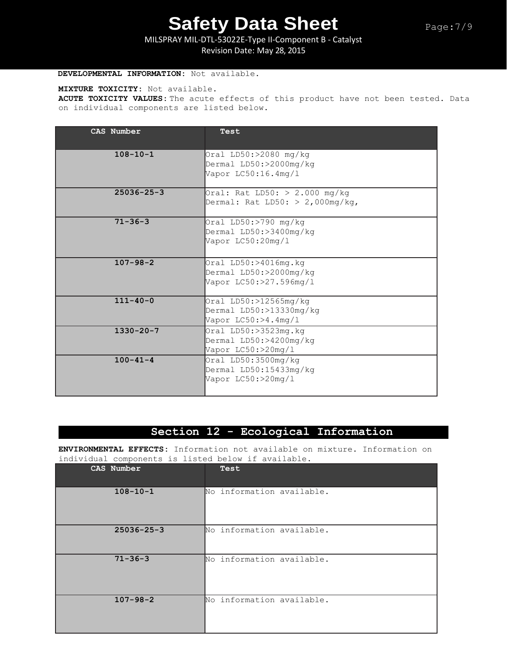MILSPRAY MIL-DTL-53022E-Type II-Component B - Catalyst Revision Date: May 28, 2015

### **DEVELOPMENTAL INFORMATION:** Not available.

#### **MIXTURE TOXICITY:** Not available.

**ACUTE TOXICITY VALUES:** The acute effects of this product have not been tested. Data on individual components are listed below.

| CAS Number       | Test                                                                         |
|------------------|------------------------------------------------------------------------------|
| $108 - 10 - 1$   | Oral $LD50: > 2080$ mg/kg<br>Dermal LD50:>2000mg/kg<br>Vapor LC50:16.4mg/1   |
| $25036 - 25 - 3$ | Oral: Rat LD50: $> 2.000$ mg/kg<br>Dermal: Rat LD50: $> 2,000$ mg/kg,        |
| $71 - 36 - 3$    | Oral LD50:>790 mg/kg<br>Dermal LD50:>3400mg/kg<br>Vapor LC50:20mg/1          |
| $107 - 98 - 2$   | Oral $LD50: > 4016mg.kq$<br>Dermal LD50:>2000mg/kg<br>Vapor LC50:>27.596mg/1 |
| $111 - 40 - 0$   | Oral LD50:>12565mg/kg<br>Dermal LD50:>13330mg/kg<br>Vapor LC50:>4.4mg/l      |
| $1330 - 20 - 7$  | Oral LD50:>3523mg.kg<br>Dermal LD50:>4200mg/kg<br>Vapor LC50:>20mg/1         |
| $100 - 41 - 4$   | Oral LD50:3500mg/kg<br>Dermal LD50:15433mg/kg<br>Vapor LC50:>20mg/1          |

## **Section 12 - Ecological Information**

**ENVIRONMENTAL EFFECTS:** Information not available on mixture. Information on individual components is listed below if available.

| CAS Number       | Test                      |
|------------------|---------------------------|
| $108 - 10 - 1$   | No information available. |
| $25036 - 25 - 3$ | No information available. |
| $71 - 36 - 3$    | No information available. |
| $107 - 98 - 2$   | No information available. |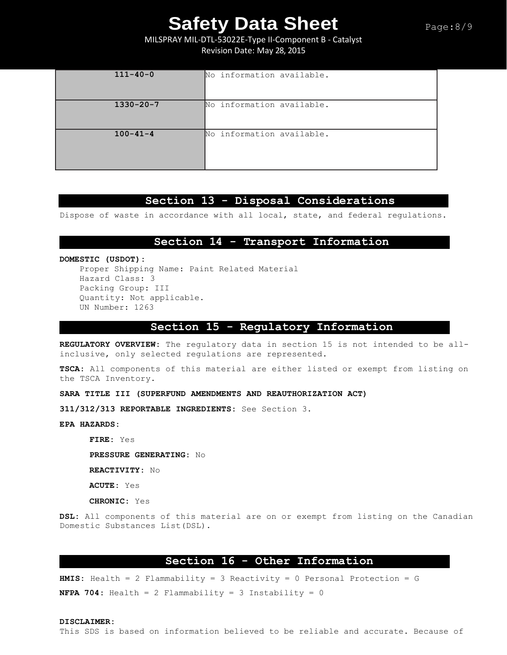MILSPRAY MIL-DTL-53022E-Type II-Component B - Catalyst Revision Date: May 28, 2015

| $111 - 40 - 0$  | No information available. |
|-----------------|---------------------------|
| $1330 - 20 - 7$ | No information available. |
| $100 - 41 - 4$  | No information available. |

## **Section 13 - Disposal Considerations**

Dispose of waste in accordance with all local, state, and federal regulations.

### **Section 14 - Transport Information**

**DOMESTIC (USDOT):** Proper Shipping Name: Paint Related Material Hazard Class: 3 Packing Group: III Quantity: Not applicable. UN Number: 1263

### **Section 15 - Regulatory Information**

**REGULATORY OVERVIEW:** The regulatory data in section 15 is not intended to be allinclusive, only selected regulations are represented.

**TSCA:** All components of this material are either listed or exempt from listing on the TSCA Inventory.

### **SARA TITLE III (SUPERFUND AMENDMENTS AND REAUTHORIZATION ACT)**

**311/312/313 REPORTABLE INGREDIENTS:** See Section 3.

**EPA HAZARDS:** 

**FIRE:** Yes **PRESSURE GENERATING:** No

**REACTIVITY:** No

**ACUTE:** Yes

**CHRONIC:** Yes

**DSL:** All components of this material are on or exempt from listing on the Canadian Domestic Substances List(DSL).

## **Section 16 - Other Information**

**HMIS:** Health = 2 Flammability = 3 Reactivity = 0 Personal Protection = G **NFPA 704:** Health = 2 Flammability = 3 Instability = 0

#### **DISCLAIMER:**

This SDS is based on information believed to be reliable and accurate. Because of